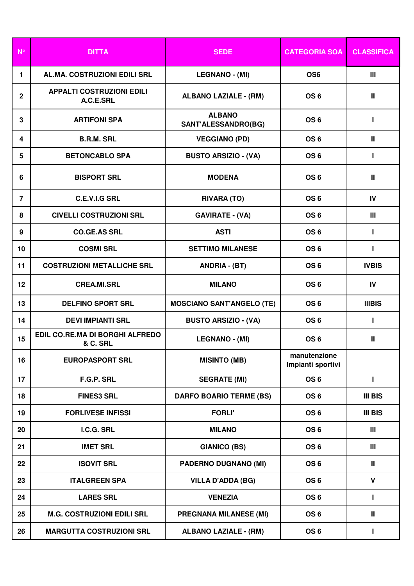| $N^{\circ}$    | <b>DITTA</b>                                  | <b>SEDE</b>                          | <b>CATEGORIA SOA</b>              | <b>CLASSIFICA</b> |
|----------------|-----------------------------------------------|--------------------------------------|-----------------------------------|-------------------|
| 1.             | AL.MA. COSTRUZIONI EDILI SRL                  | <b>LEGNANO - (MI)</b>                | OS <sub>6</sub>                   | Ш                 |
| $\mathbf{2}$   | <b>APPALTI COSTRUZIONI EDILI</b><br>A.C.E.SRL | <b>ALBANO LAZIALE - (RM)</b>         | OS <sub>6</sub>                   | Ш                 |
| $\mathbf{3}$   | <b>ARTIFONI SPA</b>                           | <b>ALBANO</b><br>SANT'ALESSANDRO(BG) | OS <sub>6</sub>                   | Т                 |
| 4              | <b>B.R.M. SRL</b>                             | <b>VEGGIANO (PD)</b>                 | OS <sub>6</sub>                   | Ш                 |
| 5              | <b>BETONCABLO SPA</b>                         | <b>BUSTO ARSIZIO - (VA)</b>          | OS <sub>6</sub>                   | Т                 |
| 6              | <b>BISPORT SRL</b>                            | <b>MODENA</b>                        | OS <sub>6</sub>                   | Ш                 |
| $\overline{7}$ | <b>C.E.V.I.G SRL</b>                          | <b>RIVARA (TO)</b>                   | OS <sub>6</sub>                   | IV                |
| 8              | <b>CIVELLI COSTRUZIONI SRL</b>                | <b>GAVIRATE - (VA)</b>               | OS <sub>6</sub>                   | Ш                 |
| 9              | <b>CO.GE.AS SRL</b>                           | <b>ASTI</b>                          | OS <sub>6</sub>                   | Т                 |
| 10             | <b>COSMI SRL</b>                              | <b>SETTIMO MILANESE</b>              | OS <sub>6</sub>                   | Т                 |
| 11             | <b>COSTRUZIONI METALLICHE SRL</b>             | <b>ANDRIA - (BT)</b>                 | OS <sub>6</sub>                   | <b>IVBIS</b>      |
| 12             | <b>CREA.MI.SRL</b>                            | <b>MILANO</b>                        | OS <sub>6</sub>                   | IV                |
| 13             | <b>DELFINO SPORT SRL</b>                      | <b>MOSCIANO SANT'ANGELO (TE)</b>     | OS <sub>6</sub>                   | <b>IIIBIS</b>     |
| 14             | <b>DEVI IMPIANTI SRL</b>                      | <b>BUSTO ARSIZIO - (VA)</b>          | OS <sub>6</sub>                   | L                 |
| 15             | EDIL CO.RE.MA DI BORGHI ALFREDO<br>& C. SRL   | <b>LEGNANO - (MI)</b>                | OS <sub>6</sub>                   | Ш                 |
| 16             | <b>EUROPASPORT SRL</b>                        | <b>MISINTO (MB)</b>                  | manutenzione<br>Impianti sportivi |                   |
| 17             | F.G.P. SRL                                    | <b>SEGRATE (MI)</b>                  | OS <sub>6</sub>                   | Т                 |
| 18             | <b>FINES3 SRL</b>                             | <b>DARFO BOARIO TERME (BS)</b>       | OS <sub>6</sub>                   | <b>III BIS</b>    |
| 19             | <b>FORLIVESE INFISSI</b>                      | <b>FORLI'</b>                        | OS <sub>6</sub>                   | <b>III BIS</b>    |
| 20             | I.C.G. SRL                                    | <b>MILANO</b>                        | OS <sub>6</sub>                   | Ш                 |
| 21             | <b>IMET SRL</b>                               | <b>GIANICO (BS)</b>                  | OS <sub>6</sub>                   | Ш                 |
| 22             | <b>ISOVIT SRL</b>                             | <b>PADERNO DUGNANO (MI)</b>          | OS <sub>6</sub>                   | Ш                 |
| 23             | <b>ITALGREEN SPA</b>                          | <b>VILLA D'ADDA (BG)</b>             | OS <sub>6</sub>                   | $\mathbf{V}$      |
| 24             | <b>LARES SRL</b>                              | <b>VENEZIA</b>                       | OS <sub>6</sub>                   | $\mathbf{I}$      |
| 25             | <b>M.G. COSTRUZIONI EDILI SRL</b>             | <b>PREGNANA MILANESE (MI)</b>        | OS <sub>6</sub>                   | Ш                 |
| 26             | <b>MARGUTTA COSTRUZIONI SRL</b>               | <b>ALBANO LAZIALE - (RM)</b>         | OS <sub>6</sub>                   | L                 |